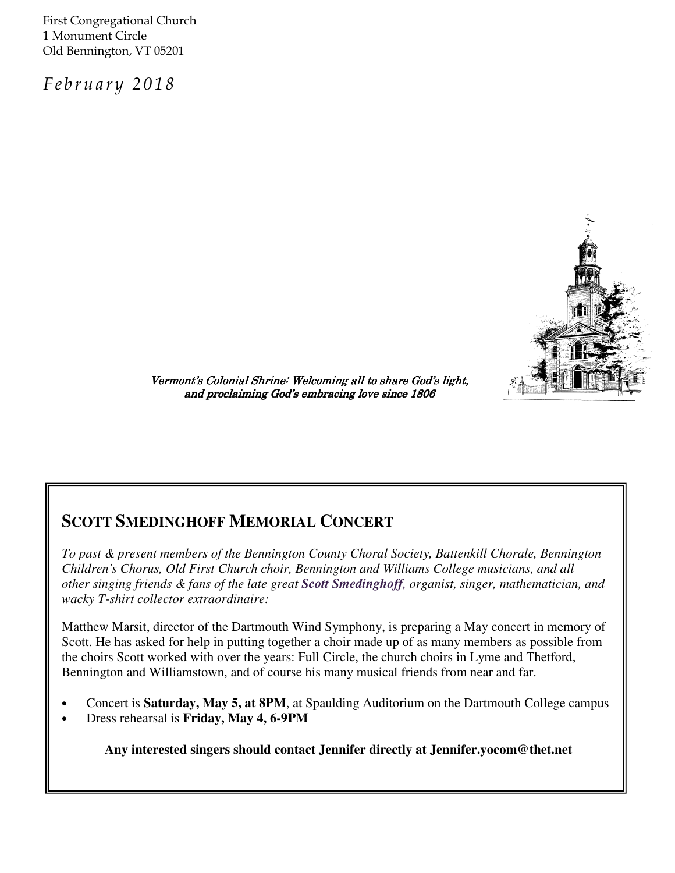First Congregational Church 1 Monument Circle Old Bennington, VT 05201

February 2018



Vermont's Colonial Shrine: Welcoming all to share God's light, and proclaiming God's embracing love since 1806

# **SCOTT SMEDINGHOFF MEMORIAL CONCERT**

*To past & present members of the Bennington County Choral Society, Battenkill Chorale, Bennington Children's Chorus, Old First Church choir, Bennington and Williams College musicians, and all other singing friends & fans of the late great Scott Smedinghoff, organist, singer, mathematician, and wacky T-shirt collector extraordinaire:*

Matthew Marsit, director of the Dartmouth Wind Symphony, is preparing a May concert in memory of Scott. He has asked for help in putting together a choir made up of as many members as possible from the choirs Scott worked with over the years: Full Circle, the church choirs in Lyme and Thetford, Bennington and Williamstown, and of course his many musical friends from near and far.

- Concert is **Saturday, May 5, at 8PM**, at Spaulding Auditorium on the Dartmouth College campus
- Dress rehearsal is **Friday, May 4, 6-9PM**

**Any interested singers should contact Jennifer directly at Jennifer.yocom@thet.net**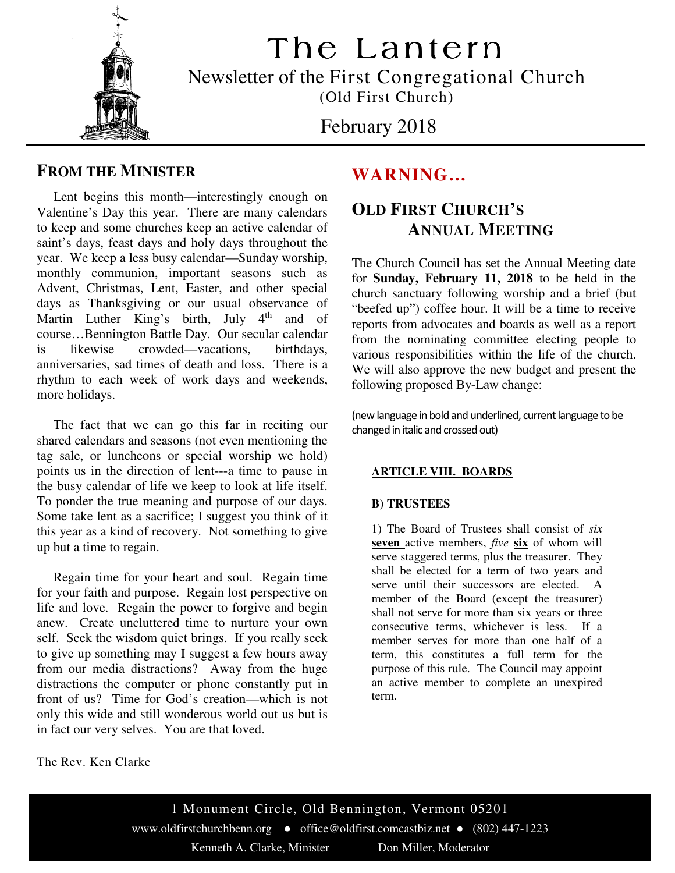

The Lantern Newsletter of the First Congregational Church

(Old First Church)

February 2018

### **FROM THE MINISTER**

 Lent begins this month—interestingly enough on Valentine's Day this year. There are many calendars to keep and some churches keep an active calendar of saint's days, feast days and holy days throughout the year. We keep a less busy calendar—Sunday worship, monthly communion, important seasons such as Advent, Christmas, Lent, Easter, and other special days as Thanksgiving or our usual observance of Martin Luther King's birth, July  $4<sup>th</sup>$  and of course…Bennington Battle Day. Our secular calendar is likewise crowded—vacations, birthdays, anniversaries, sad times of death and loss. There is a rhythm to each week of work days and weekends, more holidays.

 The fact that we can go this far in reciting our shared calendars and seasons (not even mentioning the tag sale, or luncheons or special worship we hold) points us in the direction of lent---a time to pause in the busy calendar of life we keep to look at life itself. To ponder the true meaning and purpose of our days. Some take lent as a sacrifice; I suggest you think of it this year as a kind of recovery. Not something to give up but a time to regain.

 Regain time for your heart and soul. Regain time for your faith and purpose. Regain lost perspective on life and love. Regain the power to forgive and begin anew. Create uncluttered time to nurture your own self. Seek the wisdom quiet brings. If you really seek to give up something may I suggest a few hours away from our media distractions? Away from the huge distractions the computer or phone constantly put in front of us? Time for God's creation—which is not only this wide and still wonderous world out us but is in fact our very selves. You are that loved.

## **WARNING…**

# **OLD FIRST CHURCH'S ANNUAL MEETING**

The Church Council has set the Annual Meeting date for **Sunday, February 11, 2018** to be held in the church sanctuary following worship and a brief (but "beefed up") coffee hour. It will be a time to receive reports from advocates and boards as well as a report from the nominating committee electing people to various responsibilities within the life of the church. We will also approve the new budget and present the following proposed By-Law change:

(new language in bold and underlined, current language to be changed in italic and crossed out)

### **ARTICLE VIII. BOARDS**

#### **B) TRUSTEES**

1) The Board of Trustees shall consist of *six*  **seven** active members, *five* **six** of whom will serve staggered terms, plus the treasurer. They shall be elected for a term of two years and serve until their successors are elected. A member of the Board (except the treasurer) shall not serve for more than six years or three consecutive terms, whichever is less. If a member serves for more than one half of a term, this constitutes a full term for the purpose of this rule. The Council may appoint an active member to complete an unexpired term.

The Rev. Ken Clarke

www.oldfirstchurchbenn.org ● office@oldfirst.comcastbiz.net ● (802) 447-1223 1 Monument Circle, Old Bennington, Vermont 05201 Kenneth A. Clarke, Minister Don Miller, Moderator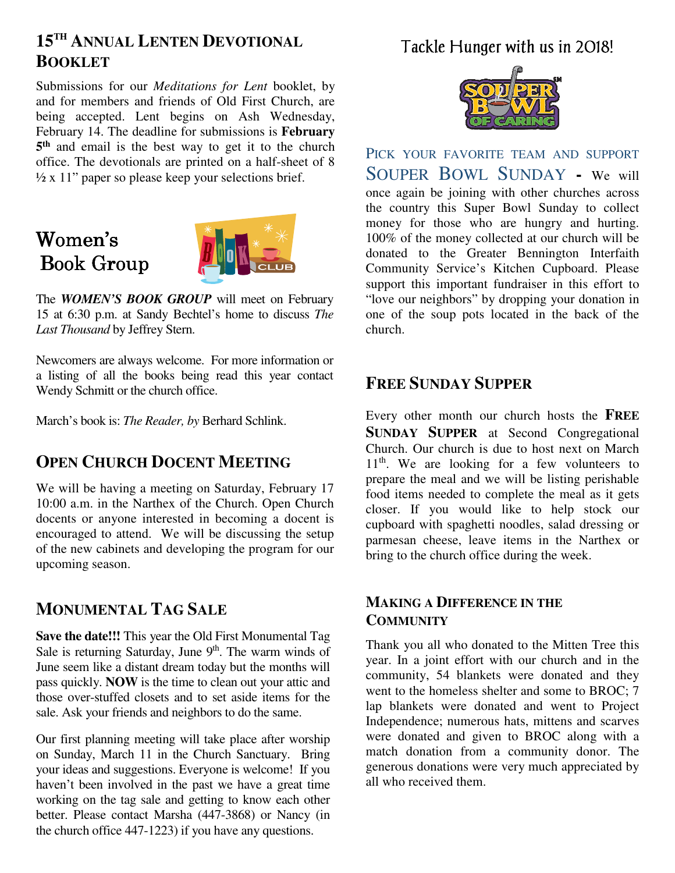# **15TH ANNUAL LENTEN DEVOTIONAL BOOKLET**

Submissions for our *Meditations for Lent* booklet, by and for members and friends of Old First Church, are being accepted. Lent begins on Ash Wednesday, February 14. The deadline for submissions is **February 5 th** and email is the best way to get it to the church office. The devotionals are printed on a half-sheet of 8  $\frac{1}{2}$  x 11" paper so please keep your selections brief.

# Women's Book Group



The *WOMEN'S BOOK GROUP* will meet on February 15 at 6:30 p.m. at Sandy Bechtel's home to discuss *The Last Thousand* by Jeffrey Stern.

Newcomers are always welcome. For more information or a listing of all the books being read this year contact Wendy Schmitt or the church office.

March's book is: *The Reader, by* Berhard Schlink.

### **OPEN CHURCH DOCENT MEETING**

We will be having a meeting on Saturday, February 17 10:00 a.m. in the Narthex of the Church. Open Church docents or anyone interested in becoming a docent is encouraged to attend. We will be discussing the setup of the new cabinets and developing the program for our upcoming season.

### **MONUMENTAL TAG SALE**

**Save the date!!!** This year the Old First Monumental Tag Sale is returning Saturday, June  $9<sup>th</sup>$ . The warm winds of June seem like a distant dream today but the months will pass quickly. **NOW** is the time to clean out your attic and those over-stuffed closets and to set aside items for the sale. Ask your friends and neighbors to do the same.

Our first planning meeting will take place after worship on Sunday, March 11 in the Church Sanctuary. Bring your ideas and suggestions. Everyone is welcome! If you haven't been involved in the past we have a great time working on the tag sale and getting to know each other better. Please contact Marsha (447-3868) or Nancy (in the church office 447-1223) if you have any questions.

# Tackle Hunger with us in 2018!



PICK YOUR FAVORITE TEAM AND SUPPORT SOUPER BOWL SUNDAY **-** We will once again be joining with other churches across the country this Super Bowl Sunday to collect money for those who are hungry and hurting. 100% of the money collected at our church will be donated to the Greater Bennington Interfaith Community Service's Kitchen Cupboard. Please support this important fundraiser in this effort to "love our neighbors" by dropping your donation in one of the soup pots located in the back of the church.

### **FREE SUNDAY SUPPER**

Every other month our church hosts the **FREE SUNDAY SUPPER** at Second Congregational Church. Our church is due to host next on March  $11<sup>th</sup>$ . We are looking for a few volunteers to prepare the meal and we will be listing perishable food items needed to complete the meal as it gets closer. If you would like to help stock our cupboard with spaghetti noodles, salad dressing or parmesan cheese, leave items in the Narthex or bring to the church office during the week.

### **MAKING A DIFFERENCE IN THE COMMUNITY**

Thank you all who donated to the Mitten Tree this year. In a joint effort with our church and in the community, 54 blankets were donated and they went to the homeless shelter and some to BROC; 7 lap blankets were donated and went to Project Independence; numerous hats, mittens and scarves were donated and given to BROC along with a match donation from a community donor. The generous donations were very much appreciated by all who received them.